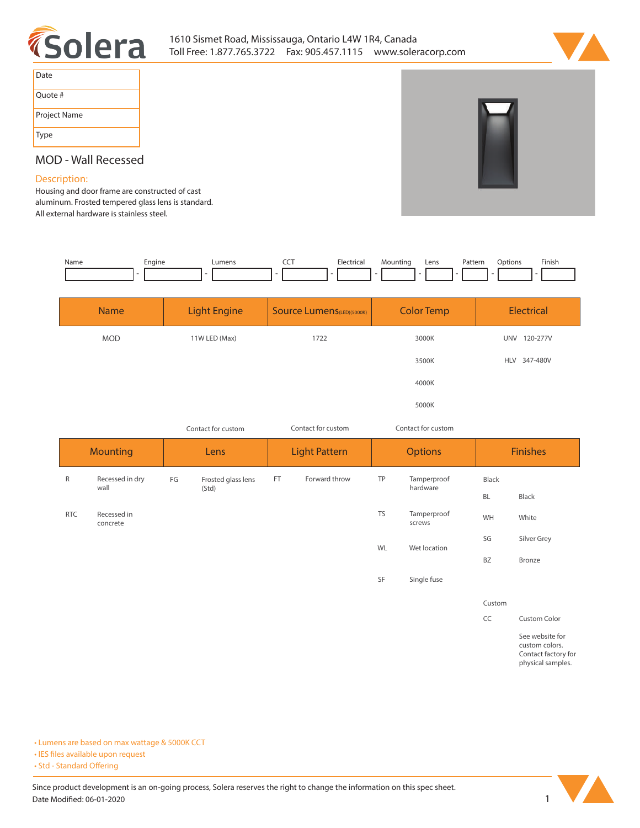



| Date         |
|--------------|
| Quote #      |
| Project Name |
| Type         |

# **MOD - Wall Recessed**

## **Description:**

**Housing and door frame are constructed of cast aluminum. Frosted tempered glass lens is standard. All external hardware is stainless steel.** 

| Name | Engine | <b>uman</b> | ---<br>$ -$ | . | Mou. | Lens | atterr<br>. | .ntinr | Finis. |
|------|--------|-------------|-------------|---|------|------|-------------|--------|--------|
|      |        |             |             |   |      |      |             |        |        |

| <b>Name</b> | <b>Light Engine</b> | <b>Source Lumens (LED)(5000K)</b> | <b>Color Temp</b> | Electrical             |  |
|-------------|---------------------|-----------------------------------|-------------------|------------------------|--|
| <b>MOD</b>  | 11W LED (Max)       | 1722                              | 3000K             | <b>UNV</b><br>120-277V |  |
|             |                     |                                   | 3500K             | 347-480V<br><b>HLV</b> |  |
|             |                     |                                   | 4000K             |                        |  |
|             |                     |                                   | 5000K             |                        |  |

*Contact for custom Contact for custom*

*Contact for custom*

| <b>Mounting</b> |                         | Lens |                             | <b>Light Pattern</b> |               | <b>Options</b> |                         | <b>Finishes</b> |                                                                               |
|-----------------|-------------------------|------|-----------------------------|----------------------|---------------|----------------|-------------------------|-----------------|-------------------------------------------------------------------------------|
| ${\sf R}$       | Recessed in dry<br>wall | FG   | Frosted glass lens<br>(Std) | FT                   | Forward throw | TP             | Tamperproof<br>hardware | Black           |                                                                               |
|                 |                         |      |                             |                      |               |                |                         | <b>BL</b>       | Black                                                                         |
| <b>RTC</b>      | Recessed in<br>concrete |      |                             |                      |               | <b>TS</b>      | Tamperproof<br>screws   | WH              | White                                                                         |
|                 |                         |      |                             |                      |               | WL             | Wet location            | SG              | Silver Grey                                                                   |
|                 |                         |      |                             |                      |               |                |                         | BZ              | Bronze                                                                        |
|                 |                         |      |                             |                      |               | SF             | Single fuse             |                 |                                                                               |
|                 |                         |      |                             |                      |               |                |                         | Custom          |                                                                               |
|                 |                         |      |                             |                      |               |                |                         | CC              | Custom Color                                                                  |
|                 |                         |      |                             |                      |               |                |                         |                 | See website for<br>custom colors.<br>Contact factory for<br>physical samples. |

**• Lumens are based on max wattage & 5000K CCT**

**• IES files available upon request** 

• Std - Standard Offering

Since product development is an on-going process, Solera reserves the right to change the information on this spec sheet. **Date Modified: 06-01-2020** 1